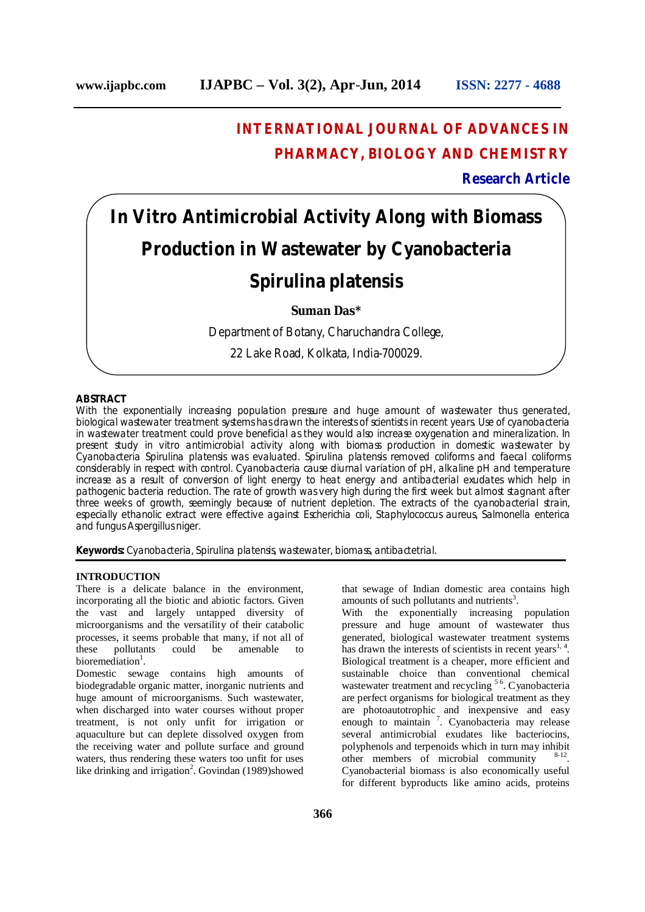# **INTERNATIONAL JOURNAL OF ADVANCES IN PHARMACY, BIOLOGY AND CHEMISTRY**

**Research Article**

# *In Vitro* **Antimicrobial Activity Along with Biomass Production in Wastewater by Cyanobacteria**

## *Spirulina platensis*

### **Suman Das\***

Department of Botany, Charuchandra College,

22 Lake Road, Kolkata, India-700029.

#### **ABSTRACT**

With the exponentially increasing population pressure and huge amount of wastewater thus generated, biological wastewater treatment systems has drawn the interests of scientists in recent years. Use of cyanobacteria in wastewater treatment could prove beneficial as they would also increase oxygenation and mineralization. In present study i*n vitro* antimicrobial activity along with biomass production in domestic wastewater by Cyanobacteria *Spirulina platensis* was evaluated*. Spirulina platensis* removed coliforms and faecal coliforms considerably in respect with control. Cyanobacteria cause diurnal variation of pH, alkaline pH and temperature increase as a result of conversion of light energy to heat energy and antibacterial exudates which help in pathogenic bacteria reduction. The rate of growth was very high during the first week but almost stagnant after three weeks of growth, seemingly because of nutrient depletion. The extracts of the cyanobacterial strain, especially ethanolic extract were effective against *Escherichia coli, Staphylococcus aureus, Salmonella enterica*  and fungus *Aspergillus niger.*

**Keywords:** Cyanobacteria, *Spirulina platensis,* wastewater, biomass, antibactetrial.

#### **INTRODUCTION**

There is a delicate balance in the environment, incorporating all the biotic and abiotic factors. Given the vast and largely untapped diversity of microorganisms and the versatility of their catabolic processes, it seems probable that many, if not all of<br>these pollutants could be amenable to these pollutants could be amenable to bioremediation<sup>1</sup>.

Domestic sewage contains high amounts of biodegradable organic matter, inorganic nutrients and huge amount of microorganisms. Such wastewater, when discharged into water courses without proper treatment, is not only unfit for irrigation or aquaculture but can deplete dissolved oxygen from the receiving water and pollute surface and ground waters, thus rendering these waters too unfit for uses like drinking and irrigation<sup>2</sup>. Govindan  $(1989)$ showed that sewage of Indian domestic area contains high amounts of such pollutants and nutrients<sup>3</sup>.

With the exponentially increasing population pressure and huge amount of wastewater thus generated, biological wastewater treatment systems has drawn the interests of scientists in recent years<sup>1, 4</sup>. Biological treatment is a cheaper, more efficient and sustainable choice than conventional chemical wastewater treatment and recycling<sup>56</sup>. Cyanobacteria are perfect organisms for biological treatment as they are photoautotrophic and inexpensive and easy enough to maintain<sup>7</sup>. Cyanobacteria may release several antimicrobial exudates like bacteriocins, polyphenols and terpenoids which in turn may inhibit other members of microbial community . Cyanobacterial biomass is also economically useful for different byproducts like amino acids, proteins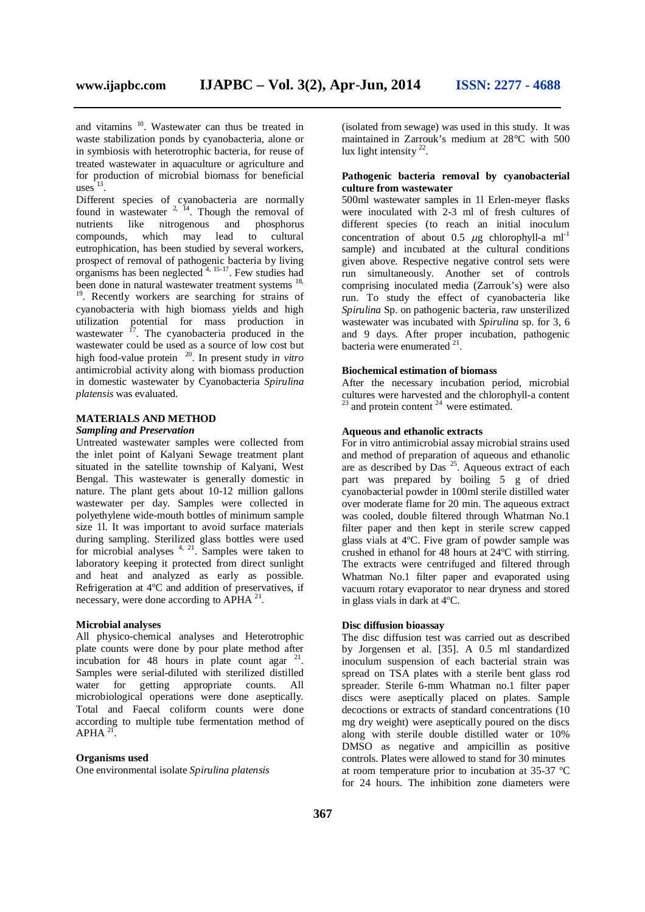and vitamins <sup>10</sup>. Wastewater can thus be treated in waste stabilization ponds by cyanobacteria, alone or in symbiosis with heterotrophic bacteria, for reuse of treated wastewater in aquaculture or agriculture and for production of microbial biomass for beneficial uses $13$ .

Different species of cyanobacteria are normally found in wastewater  $2^{14}$ . Though the removal of nutrients like nitrogenous and phosphorus compounds, which may lead to cultural eutrophication, has been studied by several workers, prospect of removal of pathogenic bacteria by living organisms has been neglected  $4, 15-17$ . Few studies had been done in natural wastewater treatment systems <sup>18,</sup> <sup>19</sup>. Recently workers are searching for strains of cyanobacteria with high biomass yields and high utilization potential for mass production in wastewater <sup>17</sup>. The cyanobacteria produced in the wastewater could be used as a source of low cost but high food-value protein 20 . In present study i*n vitro* antimicrobial activity along with biomass production

in domestic wastewater by Cyanobacteria *Spirulina platensis* was evaluated*.*

#### **MATERIALS AND METHOD** *Sampling and Preservation*

Untreated wastewater samples were collected from the inlet point of Kalyani Sewage treatment plant situated in the satellite township of Kalyani, West Bengal. This wastewater is generally domestic in nature. The plant gets about 10-12 million gallons wastewater per day. Samples were collected in polyethylene wide-mouth bottles of minimum sample size 11. It was important to avoid surface materials during sampling. Sterilized glass bottles were used for microbial analyses  $4, 21$ . Samples were taken to laboratory keeping it protected from direct sunlight and heat and analyzed as early as possible. Refrigeration at 4ºC and addition of preservatives, if necessary, were done according to APHA<sup>21</sup>.

#### **Microbial analyses**

All physico-chemical analyses and Heterotrophic plate counts were done by pour plate method after incubation for  $48$  hours in plate count agar  $21$ . Samples were serial-diluted with sterilized distilled water for getting appropriate counts. All microbiological operations were done aseptically. Total and Faecal coliform counts were done according to multiple tube fermentation method of  $APHA$ <sup>21</sup> .

#### **Organisms used**

One environmental isolate *Spirulina platensis* 

(isolated from sewage) was used in this study. It was maintained in Zarrouk's medium at 28°C with 500 lux light intensity  $22$ .

#### **Pathogenic bacteria removal by cyanobacterial culture from wastewater**

500ml wastewater samples in 1l Erlen-meyer flasks were inoculated with 2-3 ml of fresh cultures of different species (to reach an initial inoculum concentration of about 0.5  $\mu$ g chlorophyll-a ml<sup>-1</sup> sample) and incubated at the cultural conditions given above. Respective negative control sets were run simultaneously. Another set of controls comprising inoculated media (Zarrouk's) were also run. To study the effect of cyanobacteria like *Spirulina* Sp. on pathogenic bacteria, raw unsterilized wastewater was incubated with *Spirulina* sp. for 3, 6 and 9 days. After proper incubation, pathogenic bacteria were enumerated<sup>21</sup>.

#### **Biochemical estimation of biomass**

After the necessary incubation period, microbial cultures were harvested and the chlorophyll-a content  $^{23}$  and protein content  $^{24}$  were estimated.

#### **Aqueous and ethanolic extracts**

For in vitro antimicrobial assay microbial strains used and method of preparation of aqueous and ethanolic are as described by Das  $^{25}$ . Aqueous extract of each part was prepared by boiling 5 g of dried cyanobacterial powder in 100ml sterile distilled water over moderate flame for 20 min. The aqueous extract was cooled, double filtered through Whatman No.1 filter paper and then kept in sterile screw capped glass vials at 4ºC. Five gram of powder sample was crushed in ethanol for 48 hours at 24ºC with stirring. The extracts were centrifuged and filtered through Whatman No.1 filter paper and evaporated using vacuum rotary evaporator to near dryness and stored in glass vials in dark at 4ºC.

#### **Disc diffusion bioassay**

The disc diffusion test was carried out as described by Jorgensen et al. [35]. A 0.5 ml standardized inoculum suspension of each bacterial strain was spread on TSA plates with a sterile bent glass rod spreader. Sterile 6-mm Whatman no.1 filter paper discs were aseptically placed on plates. Sample decoctions or extracts of standard concentrations (10 mg dry weight) were aseptically poured on the discs along with sterile double distilled water or 10% DMSO as negative and ampicillin as positive controls. Plates were allowed to stand for 30 minutes at room temperature prior to incubation at 35-37 ºC for 24 hours. The inhibition zone diameters were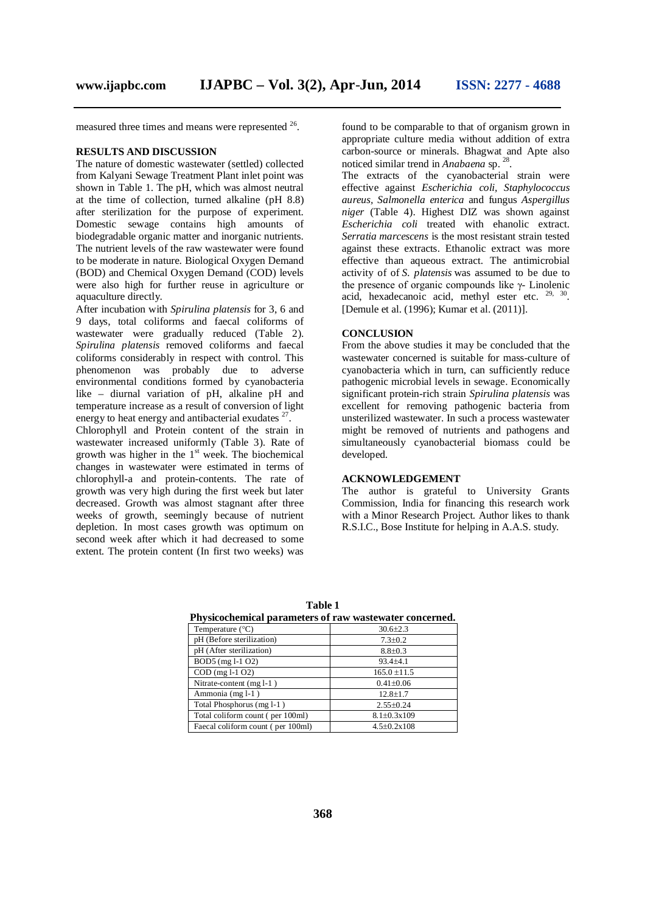measured three times and means were represented  $26$ .

#### **RESULTS AND DISCUSSION**

The nature of domestic wastewater (settled) collected from Kalyani Sewage Treatment Plant inlet point was shown in Table 1. The pH, which was almost neutral at the time of collection, turned alkaline (pH 8.8) after sterilization for the purpose of experiment. Domestic sewage contains high amounts of biodegradable organic matter and inorganic nutrients. The nutrient levels of the raw wastewater were found to be moderate in nature. Biological Oxygen Demand (BOD) and Chemical Oxygen Demand (COD) levels were also high for further reuse in agriculture or aquaculture directly.

After incubation with *Spirulina platensis* for 3, 6 and 9 days, total coliforms and faecal coliforms of wastewater were gradually reduced (Table 2). *Spirulina platensis* removed coliforms and faecal coliforms considerably in respect with control. This phenomenon was probably due to adverse environmental conditions formed by cyanobacteria like – diurnal variation of pH, alkaline pH and temperature increase as a result of conversion of light energy to heat energy and antibacterial exudates  $27$ .

Chlorophyll and Protein content of the strain in wastewater increased uniformly (Table 3). Rate of growth was higher in the  $1<sup>st</sup>$  week. The biochemical changes in wastewater were estimated in terms of chlorophyll-a and protein-contents. The rate of growth was very high during the first week but later decreased. Growth was almost stagnant after three weeks of growth, seemingly because of nutrient depletion. In most cases growth was optimum on second week after which it had decreased to some extent. The protein content (In first two weeks) was

found to be comparable to that of organism grown in appropriate culture media without addition of extra carbon-source or minerals. Bhagwat and Apte also noticed similar trend in *Anabaena* sp. 28 .

The extracts of the cyanobacterial strain were effective against *Escherichia coli, Staphylococcus aureus, Salmonella enterica* and fungus *Aspergillus niger* (Table 4). Highest DIZ was shown against *Escherichia coli* treated with ehanolic extract. *Serratia marcescens* is the most resistant strain tested against these extracts. Ethanolic extract was more effective than aqueous extract. The antimicrobial activity of of *S. platensis* was assumed to be due to the presence of organic compounds like γ- Linolenic acid, hexadecanoic acid, methyl ester etc.  $29, 30$ . [Demule et al. (1996); Kumar et al. (2011)].

#### **CONCLUSION**

From the above studies it may be concluded that the wastewater concerned is suitable for mass-culture of cyanobacteria which in turn, can sufficiently reduce pathogenic microbial levels in sewage. Economically significant protein-rich strain *Spirulina platensis* was excellent for removing pathogenic bacteria from unsterilized wastewater. In such a process wastewater might be removed of nutrients and pathogens and simultaneously cyanobacterial biomass could be developed.

#### **ACKNOWLEDGEMENT**

The author is grateful to University Grants Commission, India for financing this research work with a Minor Research Project. Author likes to thank R.S.I.C., Bose Institute for helping in A.A.S. study.

| Physicochemical parameters of raw wastewater concerned. |                          |  |
|---------------------------------------------------------|--------------------------|--|
| Temperature $(^{\circ}C)$                               | $30.6 \pm 2.3$           |  |
| pH (Before sterilization)                               | $7.3 \pm 0.2$            |  |
| pH (After sterilization)                                | $8.8 \pm 0.3$            |  |
| BOD5 (mg 1-1 O2)                                        | $93.4 \pm 4.1$           |  |
| COD (mg 1-1 O2)                                         | $165.0 \pm 11.5$         |  |
| Nitrate-content $(mg 1-1)$                              | $0.41 \pm 0.06$          |  |
| Ammonia (mg l-1)                                        | $12.8 \pm 1.7$           |  |
| Total Phosphorus (mg l-1)                               | $2.55 \pm 0.24$          |  |
| Total coliform count (per 100ml)                        | $8.1 \pm 0.3 \times 109$ |  |
| Faecal coliform count (per 100ml)                       | $4.5 \pm 0.2 \times 108$ |  |

**Table 1**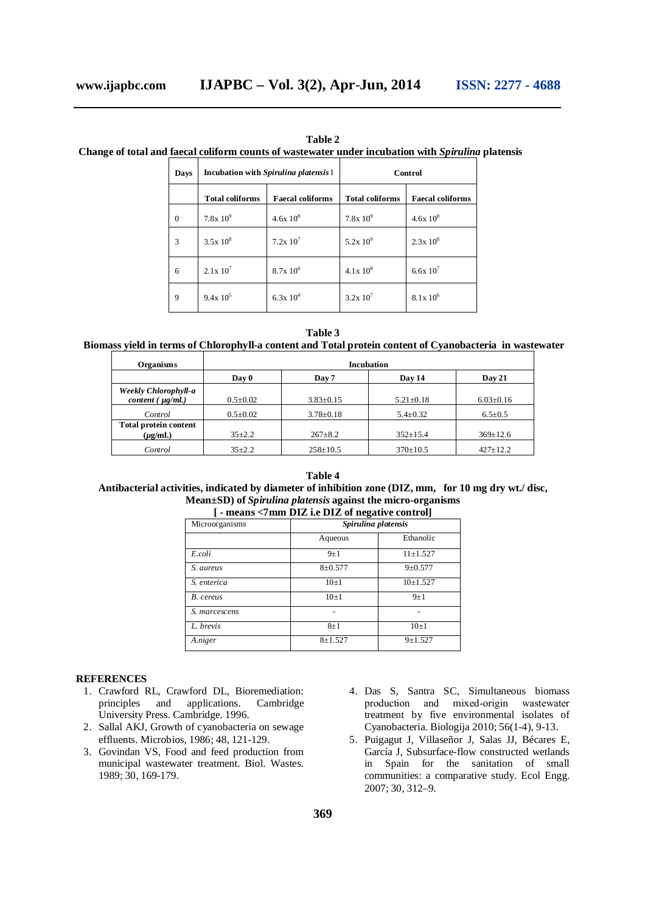| Table 2                                                                                                   |
|-----------------------------------------------------------------------------------------------------------|
| Change of total and faecal coliform counts of wastewater under incubation with <i>Spirulina</i> platensis |

| Days         | Incubation with Spirulina platensis I |                         | Control                |                         |
|--------------|---------------------------------------|-------------------------|------------------------|-------------------------|
|              | <b>Total coliforms</b>                | <b>Faecal coliforms</b> | <b>Total coliforms</b> | <b>Faecal coliforms</b> |
| $\mathbf{0}$ | $7.8x10^{9}$                          | $4.6x10^{8}$            | $7.8x10^{9}$           | $4.6x10^{8}$            |
| 3            | $3.5x10^8$                            | $7.2x\ 10^7$            | $5.2x10^{9}$           | $2.3x10^8$              |
| 6            | $2.1x\ 10^7$                          | $8.7x\ 10^6$            | $4.1x10^{8}$           | 6.6x $10^{7}$           |
| 9            | $9.4x\;10^5$                          | 6.3x $10^4$             | $3.2x10^{7}$           | $8.1x\ 10^6$            |

**Table 3**

**Biomass yield in terms of Chlorophyll-a content and Total protein content of Cyanobacteria in wastewater**

| <b>Organisms</b>                              | <b>Incubation</b> |                 |                 |                 |
|-----------------------------------------------|-------------------|-----------------|-----------------|-----------------|
|                                               | Day 0             | Day 7           | Day 14          | Day 21          |
| Weekly Chlorophyll-a<br>content $(\mu g/ml.)$ | $0.5 \pm 0.02$    | $3.83 \pm 0.15$ | $5.21 \pm 0.18$ | $6.03 \pm 0.16$ |
| Control                                       | $0.5 \pm 0.02$    | $3.78 \pm 0.18$ | $5.4 \pm 0.32$  | $6.5 \pm 0.5$   |
| <b>Total protein content</b><br>$(\mu g/ml.)$ | $35 + 2.2$        | $267 \pm 8.2$   | $352 \pm 15.4$  | $369 \pm 12.6$  |
| Control                                       | $35 + 2.2$        | $258 \pm 10.5$  | $370 \pm 10.5$  | $427+12.2$      |

## **Table 4 Antibacterial activities, indicated by diameter of inhibition zone (DIZ, mm, for 10 mg dry wt./ disc, Mean±SD) of** *Spirulina platensis* **against the micro-organisms**

| [-means <7mm DIZ i.e DIZ of negative control] |             |                     |  |  |
|-----------------------------------------------|-------------|---------------------|--|--|
| Microorganisms                                |             | Spirulina platensis |  |  |
|                                               | Aqueous     | Ethanolic           |  |  |
| E.coli                                        | $9+1$       | $11 + 1.527$        |  |  |
| S. aureus                                     | $8 + 0.577$ | $9 \pm 0.577$       |  |  |
| S. enterica                                   | $10\pm1$    | $10+1.527$          |  |  |
| B. cereus                                     | $10\pm1$    | $9+1$               |  |  |
| S. marcescens                                 |             |                     |  |  |
| L. brevis                                     | $8 + 1$     | $10+1$              |  |  |
| A.niger                                       | $8 + 1.527$ | $9 + 1.527$         |  |  |

#### **REFERENCES**

- 1. Crawford RL, Crawford DL, Bioremediation: principles and applications. Cambridge University Press. Cambridge. 1996.
- 2. Sallal AKJ, Growth of cyanobacteria on sewage effluents. Microbios, 1986; 48, 121-129.
- 3. Govindan VS, Food and feed production from municipal wastewater treatment. Biol. Wastes. 1989; 30, 169-179.
- 4. Das S, Santra SC, Simultaneous biomass production and mixed-origin wastewater treatment by five environmental isolates of Cyanobacteria. Biologija 2010; 56(1-4), 9-13.
- 5. Puigagut J, Villaseñor J, Salas JJ, Bécares E, García J, Subsurface-flow constructed wetlands in Spain for the sanitation of small communities: a comparative study. Ecol Engg. 2007; 30, 312–9.